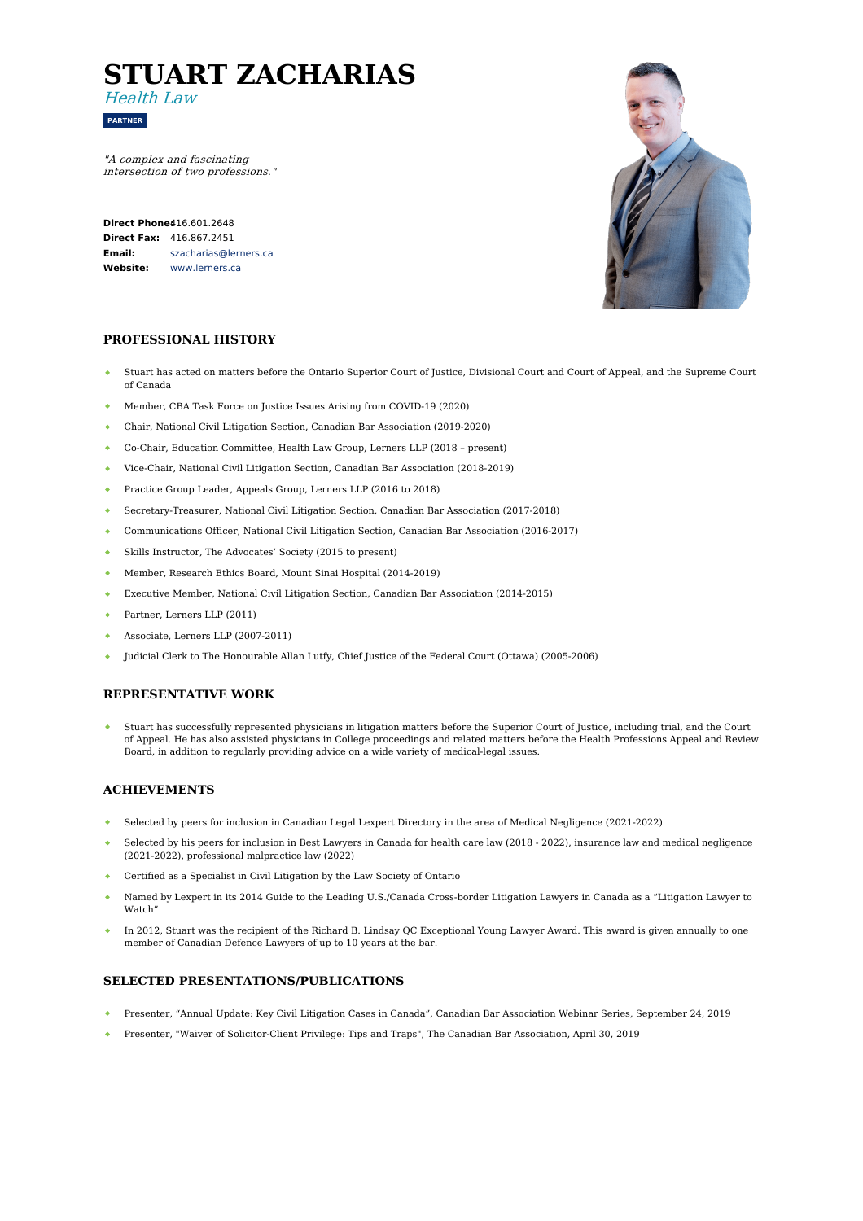# **STUART ZACHARIAS**



Health Law

**PARTNER**

**Direct Phone** $416.601.2648$ **Direct Fax:** 416.867.2451 **Email: Website:** [szacharias@lerners.ca](mailto:szacharias@lerners.ca) [www.lerners.ca](https://www.lerners.ca/)



## **PROFESSIONAL HISTORY**

- Stuart has acted on matters before the Ontario Superior Court of Justice, Divisional Court and Court of Appeal, and the Supreme Court of Canada
- Member, CBA Task Force on Justice Issues Arising from COVID-19 (2020)
- $\bullet$ Chair, National Civil Litigation Section, Canadian Bar Association (2019-2020)
- Co-Chair, Education Committee, Health Law Group, Lerners LLP (2018 present)
- Vice-Chair, National Civil Litigation Section, Canadian Bar Association (2018-2019)
- Practice Group Leader, Appeals Group, Lerners LLP (2016 to 2018)
- Secretary-Treasurer, National Civil Litigation Section, Canadian Bar Association (2017-2018)
- $\bullet$  . Communications Officer, National Civil Litigation Section, Canadian Bar Association (2016-2017)
- Skills Instructor, The Advocates' Society (2015 to present)
- $\Delta$  . Member, Research Ethics Board, Mount Sinai Hospital (2014-2019)
- Executive Member, National Civil Litigation Section, Canadian Bar Association (2014-2015)
- Partner, Lerners LLP (2011)
- Associate, Lerners LLP (2007-2011)
- Judicial Clerk to The Honourable Allan Lutfy, Chief Justice of the Federal Court (Ottawa) (2005-2006)

## **REPRESENTATIVE WORK**

Stuart has successfully represented physicians in litigation matters before the Superior Court of Justice, including trial, and the Court of Appeal. He has also assisted physicians in College proceedings and related matters before the Health Professions Appeal and Review Board, in addition to regularly providing advice on a wide variety of medical-legal issues.

#### **ACHIEVEMENTS**

- Selected by peers for inclusion in Canadian Legal Lexpert Directory in the area of Medical Negligence (2021-2022)
- Selected by his peers for inclusion in Best Lawyers in Canada for health care law (2018 2022), insurance law and medical negligence (2021-2022), professional malpractice law (2022)
- Certified as a Specialist in Civil Litigation by the Law Society of Ontario
- Named by Lexpert in its 2014 Guide to the Leading U.S./Canada Cross-border Litigation Lawyers in Canada as a "Litigation Lawyer to Watch'
- $\bullet$ In 2012, Stuart was the recipient of the Richard B. Lindsay QC Exceptional Young Lawyer Award. This award is given annually to one member of Canadian Defence Lawyers of up to 10 years at the bar.

### **SELECTED PRESENTATIONS/PUBLICATIONS**

- Presenter, "Annual Update: Key Civil Litigation Cases in Canada", Canadian Bar Association Webinar Series, September 24, 2019
- Presenter, "Waiver of Solicitor-Client Privilege: Tips and Traps", The Canadian Bar Association, April 30, 2019